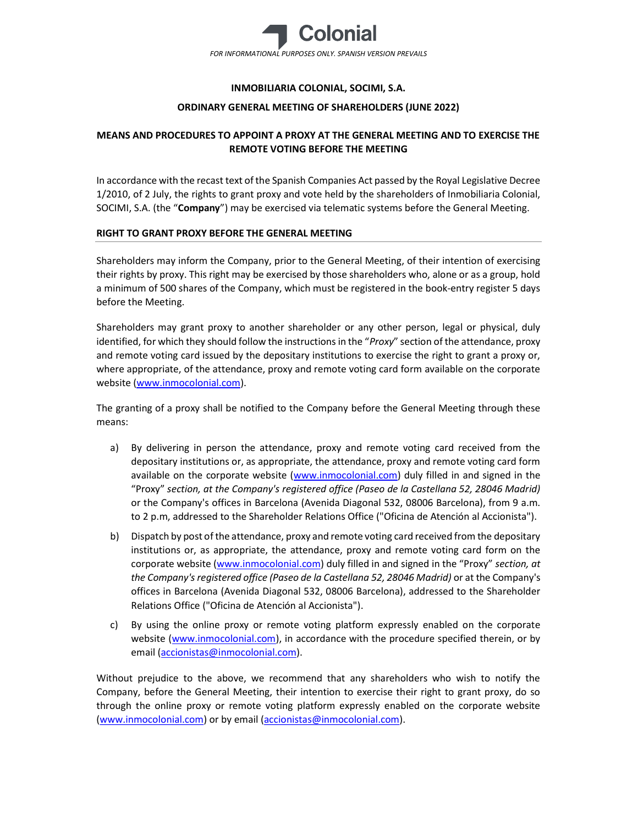

## INMOBILIARIA COLONIAL, SOCIMI, S.A.

### ORDINARY GENERAL MEETING OF SHAREHOLDERS (JUNE 2022)

# MEANS AND PROCEDURES TO APPOINT A PROXY AT THE GENERAL MEETING AND TO EXERCISE THE REMOTE VOTING BEFORE THE MEETING

In accordance with the recast text of the Spanish Companies Act passed by the Royal Legislative Decree 1/2010, of 2 July, the rights to grant proxy and vote held by the shareholders of Inmobiliaria Colonial, SOCIMI, S.A. (the "Company") may be exercised via telematic systems before the General Meeting.

### RIGHT TO GRANT PROXY BEFORE THE GENERAL MEETING

Shareholders may inform the Company, prior to the General Meeting, of their intention of exercising their rights by proxy. This right may be exercised by those shareholders who, alone or as a group, hold a minimum of 500 shares of the Company, which must be registered in the book-entry register 5 days before the Meeting.

Shareholders may grant proxy to another shareholder or any other person, legal or physical, duly identified, for which they should follow the instructions in the "Proxy" section of the attendance, proxy and remote voting card issued by the depositary institutions to exercise the right to grant a proxy or, where appropriate, of the attendance, proxy and remote voting card form available on the corporate website (www.inmocolonial.com).

The granting of a proxy shall be notified to the Company before the General Meeting through these means:

- a) By delivering in person the attendance, proxy and remote voting card received from the depositary institutions or, as appropriate, the attendance, proxy and remote voting card form available on the corporate website (www.inmocolonial.com) duly filled in and signed in the "Proxy" section, at the Company's registered office (Paseo de la Castellana 52, 28046 Madrid) or the Company's offices in Barcelona (Avenida Diagonal 532, 08006 Barcelona), from 9 a.m. to 2 p.m, addressed to the Shareholder Relations Office ("Oficina de Atención al Accionista").
- b) Dispatch by post of the attendance, proxy and remote voting card received from the depositary institutions or, as appropriate, the attendance, proxy and remote voting card form on the corporate website (www.inmocolonial.com) duly filled in and signed in the "Proxy" section, at the Company's registered office (Paseo de la Castellana 52, 28046 Madrid) or at the Company's offices in Barcelona (Avenida Diagonal 532, 08006 Barcelona), addressed to the Shareholder Relations Office ("Oficina de Atención al Accionista").
- c) By using the online proxy or remote voting platform expressly enabled on the corporate website (www.inmocolonial.com), in accordance with the procedure specified therein, or by email (accionistas@inmocolonial.com).

Without prejudice to the above, we recommend that any shareholders who wish to notify the Company, before the General Meeting, their intention to exercise their right to grant proxy, do so through the online proxy or remote voting platform expressly enabled on the corporate website (www.inmocolonial.com) or by email (accionistas@inmocolonial.com).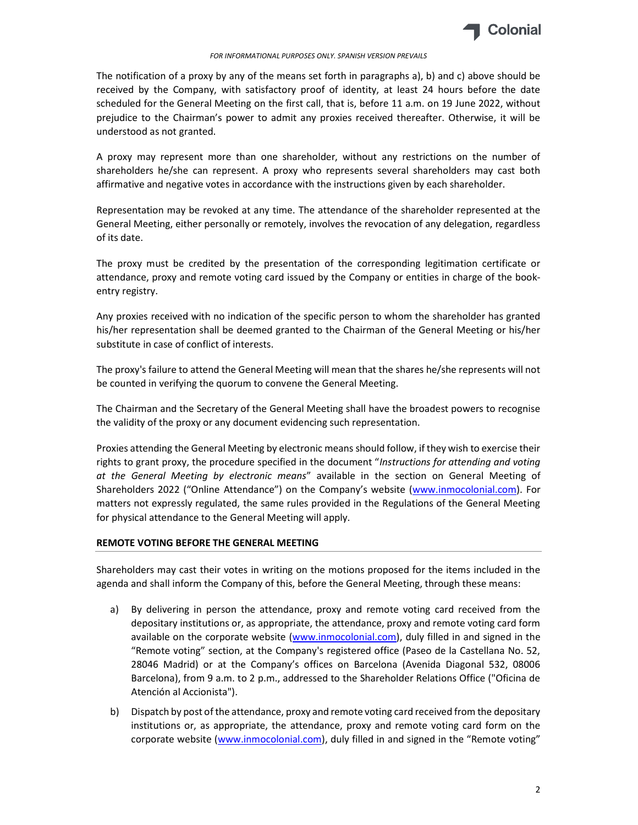

#### FOR INFORMATIONAL PURPOSES ONLY. SPANISH VERSION PREVAILS

The notification of a proxy by any of the means set forth in paragraphs a), b) and c) above should be received by the Company, with satisfactory proof of identity, at least 24 hours before the date scheduled for the General Meeting on the first call, that is, before 11 a.m. on 19 June 2022, without prejudice to the Chairman's power to admit any proxies received thereafter. Otherwise, it will be understood as not granted.

A proxy may represent more than one shareholder, without any restrictions on the number of shareholders he/she can represent. A proxy who represents several shareholders may cast both affirmative and negative votes in accordance with the instructions given by each shareholder.

Representation may be revoked at any time. The attendance of the shareholder represented at the General Meeting, either personally or remotely, involves the revocation of any delegation, regardless of its date.

The proxy must be credited by the presentation of the corresponding legitimation certificate or attendance, proxy and remote voting card issued by the Company or entities in charge of the bookentry registry.

Any proxies received with no indication of the specific person to whom the shareholder has granted his/her representation shall be deemed granted to the Chairman of the General Meeting or his/her substitute in case of conflict of interests.

The proxy's failure to attend the General Meeting will mean that the shares he/she represents will not be counted in verifying the quorum to convene the General Meeting.

The Chairman and the Secretary of the General Meeting shall have the broadest powers to recognise the validity of the proxy or any document evidencing such representation.

Proxies attending the General Meeting by electronic means should follow, if they wish to exercise their rights to grant proxy, the procedure specified in the document "Instructions for attending and voting at the General Meeting by electronic means" available in the section on General Meeting of Shareholders 2022 ("Online Attendance") on the Company's website (www.inmocolonial.com). For matters not expressly regulated, the same rules provided in the Regulations of the General Meeting for physical attendance to the General Meeting will apply.

## REMOTE VOTING BEFORE THE GENERAL MEETING

Shareholders may cast their votes in writing on the motions proposed for the items included in the agenda and shall inform the Company of this, before the General Meeting, through these means:

- a) By delivering in person the attendance, proxy and remote voting card received from the depositary institutions or, as appropriate, the attendance, proxy and remote voting card form available on the corporate website (www.inmocolonial.com), duly filled in and signed in the "Remote voting" section, at the Company's registered office (Paseo de la Castellana No. 52, 28046 Madrid) or at the Company's offices on Barcelona (Avenida Diagonal 532, 08006 Barcelona), from 9 a.m. to 2 p.m., addressed to the Shareholder Relations Office ("Oficina de Atención al Accionista").
- b) Dispatch by post of the attendance, proxy and remote voting card received from the depositary institutions or, as appropriate, the attendance, proxy and remote voting card form on the corporate website (www.inmocolonial.com), duly filled in and signed in the "Remote voting"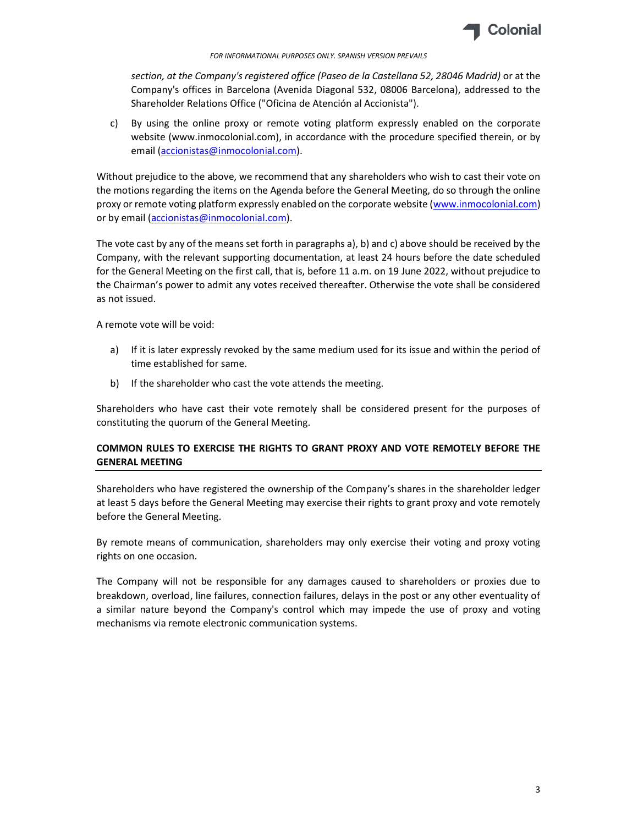

#### FOR INFORMATIONAL PURPOSES ONLY. SPANISH VERSION PREVAILS

section, at the Company's registered office (Paseo de la Castellana 52, 28046 Madrid) or at the Company's offices in Barcelona (Avenida Diagonal 532, 08006 Barcelona), addressed to the Shareholder Relations Office ("Oficina de Atención al Accionista").

c) By using the online proxy or remote voting platform expressly enabled on the corporate website (www.inmocolonial.com), in accordance with the procedure specified therein, or by email (accionistas@inmocolonial.com).

Without prejudice to the above, we recommend that any shareholders who wish to cast their vote on the motions regarding the items on the Agenda before the General Meeting, do so through the online proxy or remote voting platform expressly enabled on the corporate website (www.inmocolonial.com) or by email (accionistas@inmocolonial.com).

The vote cast by any of the means set forth in paragraphs a), b) and c) above should be received by the Company, with the relevant supporting documentation, at least 24 hours before the date scheduled for the General Meeting on the first call, that is, before 11 a.m. on 19 June 2022, without prejudice to the Chairman's power to admit any votes received thereafter. Otherwise the vote shall be considered as not issued.

A remote vote will be void:

- a) If it is later expressly revoked by the same medium used for its issue and within the period of time established for same.
- b) If the shareholder who cast the vote attends the meeting.

Shareholders who have cast their vote remotely shall be considered present for the purposes of constituting the quorum of the General Meeting.

# COMMON RULES TO EXERCISE THE RIGHTS TO GRANT PROXY AND VOTE REMOTELY BEFORE THE GENERAL MEETING

Shareholders who have registered the ownership of the Company's shares in the shareholder ledger at least 5 days before the General Meeting may exercise their rights to grant proxy and vote remotely before the General Meeting.

By remote means of communication, shareholders may only exercise their voting and proxy voting rights on one occasion.

The Company will not be responsible for any damages caused to shareholders or proxies due to breakdown, overload, line failures, connection failures, delays in the post or any other eventuality of a similar nature beyond the Company's control which may impede the use of proxy and voting mechanisms via remote electronic communication systems.